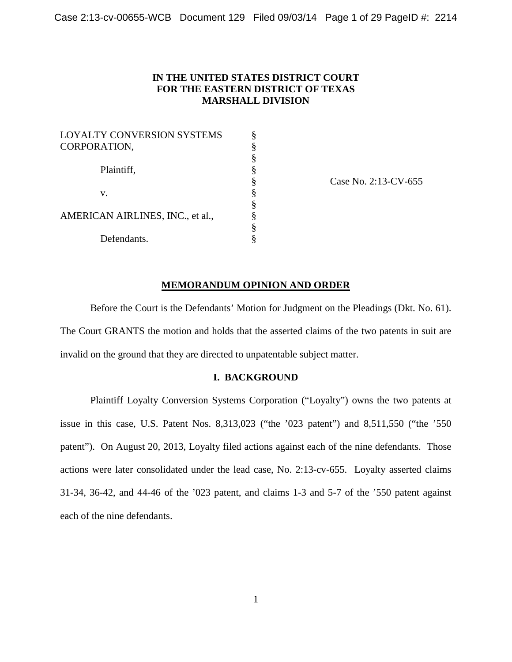# **IN THE UNITED STATES DISTRICT COURT FOR THE EASTERN DISTRICT OF TEXAS MARSHALL DIVISION**

| <b>LOYALTY CONVERSION SYSTEMS</b> |    |
|-----------------------------------|----|
| CORPORATION,                      | §  |
|                                   | §  |
| Plaintiff,                        | ş  |
|                                   | ş  |
| $V_{-}$                           | §  |
|                                   | §  |
| AMERICAN AIRLINES, INC., et al.,  | §  |
|                                   | ş  |
| Defendants.                       | \$ |

Case No. 2:13-CV-655

### **MEMORANDUM OPINION AND ORDER**

Before the Court is the Defendants' Motion for Judgment on the Pleadings (Dkt. No. 61). The Court GRANTS the motion and holds that the asserted claims of the two patents in suit are invalid on the ground that they are directed to unpatentable subject matter.

## **I. BACKGROUND**

Plaintiff Loyalty Conversion Systems Corporation ("Loyalty") owns the two patents at issue in this case, U.S. Patent Nos. 8,313,023 ("the '023 patent") and 8,511,550 ("the '550 patent"). On August 20, 2013, Loyalty filed actions against each of the nine defendants. Those actions were later consolidated under the lead case, No. 2:13-cv-655. Loyalty asserted claims 31-34, 36-42, and 44-46 of the '023 patent, and claims 1-3 and 5-7 of the '550 patent against each of the nine defendants.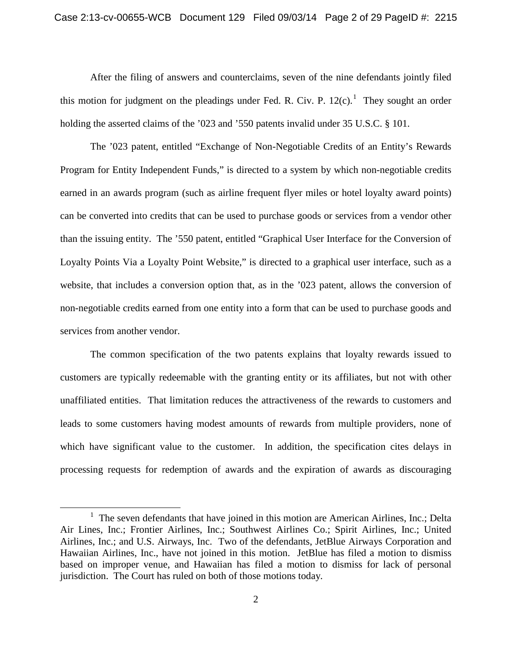After the filing of answers and counterclaims, seven of the nine defendants jointly filed this motion for judgment on the pleadings under Fed. R. Civ. P.  $12(c)$  $12(c)$ .<sup>1</sup> They sought an order holding the asserted claims of the '023 and '550 patents invalid under 35 U.S.C. § 101.

The '023 patent, entitled "Exchange of Non-Negotiable Credits of an Entity's Rewards Program for Entity Independent Funds," is directed to a system by which non-negotiable credits earned in an awards program (such as airline frequent flyer miles or hotel loyalty award points) can be converted into credits that can be used to purchase goods or services from a vendor other than the issuing entity. The '550 patent, entitled "Graphical User Interface for the Conversion of Loyalty Points Via a Loyalty Point Website," is directed to a graphical user interface, such as a website, that includes a conversion option that, as in the '023 patent, allows the conversion of non-negotiable credits earned from one entity into a form that can be used to purchase goods and services from another vendor.

The common specification of the two patents explains that loyalty rewards issued to customers are typically redeemable with the granting entity or its affiliates, but not with other unaffiliated entities. That limitation reduces the attractiveness of the rewards to customers and leads to some customers having modest amounts of rewards from multiple providers, none of which have significant value to the customer. In addition, the specification cites delays in processing requests for redemption of awards and the expiration of awards as discouraging

 $\overline{a}$ 

<span id="page-1-0"></span><sup>&</sup>lt;sup>1</sup> The seven defendants that have joined in this motion are American Airlines, Inc.; Delta Air Lines, Inc.; Frontier Airlines, Inc.; Southwest Airlines Co.; Spirit Airlines, Inc.; United Airlines, Inc.; and U.S. Airways, Inc. Two of the defendants, JetBlue Airways Corporation and Hawaiian Airlines, Inc., have not joined in this motion. JetBlue has filed a motion to dismiss based on improper venue, and Hawaiian has filed a motion to dismiss for lack of personal jurisdiction. The Court has ruled on both of those motions today.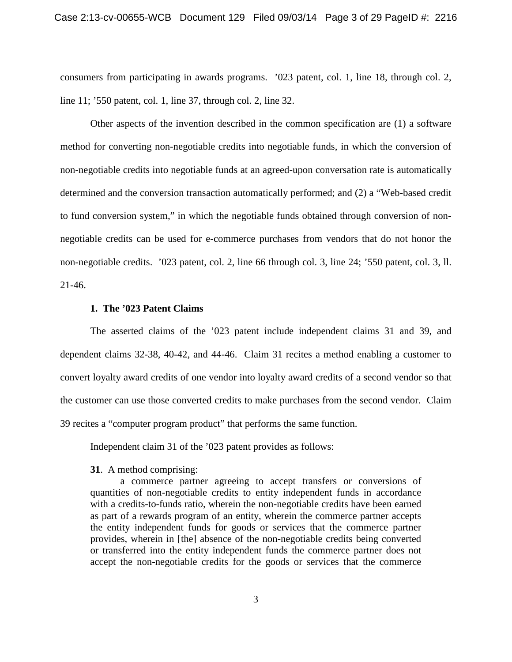consumers from participating in awards programs. '023 patent, col. 1, line 18, through col. 2, line 11; '550 patent, col. 1, line 37, through col. 2, line 32.

Other aspects of the invention described in the common specification are (1) a software method for converting non-negotiable credits into negotiable funds, in which the conversion of non-negotiable credits into negotiable funds at an agreed-upon conversation rate is automatically determined and the conversion transaction automatically performed; and (2) a "Web-based credit to fund conversion system," in which the negotiable funds obtained through conversion of nonnegotiable credits can be used for e-commerce purchases from vendors that do not honor the non-negotiable credits. '023 patent, col. 2, line 66 through col. 3, line 24; '550 patent, col. 3, ll. 21-46.

## **1. The '023 Patent Claims**

The asserted claims of the '023 patent include independent claims 31 and 39, and dependent claims 32-38, 40-42, and 44-46. Claim 31 recites a method enabling a customer to convert loyalty award credits of one vendor into loyalty award credits of a second vendor so that the customer can use those converted credits to make purchases from the second vendor. Claim 39 recites a "computer program product" that performs the same function.

Independent claim 31 of the '023 patent provides as follows:

### **31**. A method comprising:

a commerce partner agreeing to accept transfers or conversions of quantities of non-negotiable credits to entity independent funds in accordance with a credits-to-funds ratio, wherein the non-negotiable credits have been earned as part of a rewards program of an entity, wherein the commerce partner accepts the entity independent funds for goods or services that the commerce partner provides, wherein in [the] absence of the non-negotiable credits being converted or transferred into the entity independent funds the commerce partner does not accept the non-negotiable credits for the goods or services that the commerce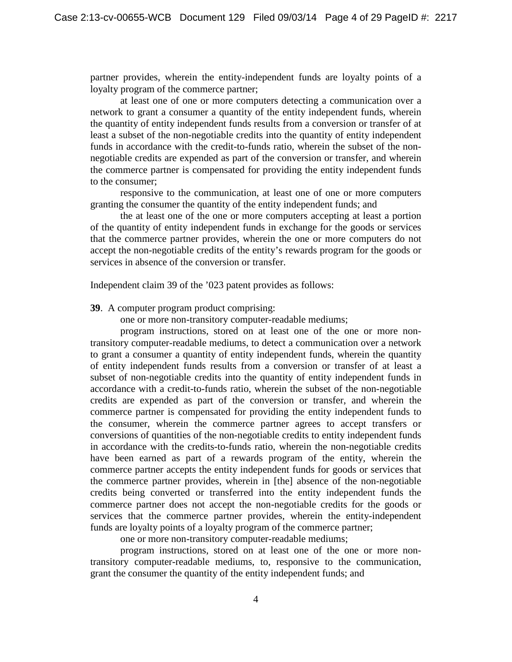partner provides, wherein the entity-independent funds are loyalty points of a loyalty program of the commerce partner;

at least one of one or more computers detecting a communication over a network to grant a consumer a quantity of the entity independent funds, wherein the quantity of entity independent funds results from a conversion or transfer of at least a subset of the non-negotiable credits into the quantity of entity independent funds in accordance with the credit-to-funds ratio, wherein the subset of the nonnegotiable credits are expended as part of the conversion or transfer, and wherein the commerce partner is compensated for providing the entity independent funds to the consumer;

responsive to the communication, at least one of one or more computers granting the consumer the quantity of the entity independent funds; and

the at least one of the one or more computers accepting at least a portion of the quantity of entity independent funds in exchange for the goods or services that the commerce partner provides, wherein the one or more computers do not accept the non-negotiable credits of the entity's rewards program for the goods or services in absence of the conversion or transfer.

Independent claim 39 of the '023 patent provides as follows:

**39**. A computer program product comprising:

one or more non-transitory computer-readable mediums;

program instructions, stored on at least one of the one or more nontransitory computer-readable mediums, to detect a communication over a network to grant a consumer a quantity of entity independent funds, wherein the quantity of entity independent funds results from a conversion or transfer of at least a subset of non-negotiable credits into the quantity of entity independent funds in accordance with a credit-to-funds ratio, wherein the subset of the non-negotiable credits are expended as part of the conversion or transfer, and wherein the commerce partner is compensated for providing the entity independent funds to the consumer, wherein the commerce partner agrees to accept transfers or conversions of quantities of the non-negotiable credits to entity independent funds in accordance with the credits-to-funds ratio, wherein the non-negotiable credits have been earned as part of a rewards program of the entity, wherein the commerce partner accepts the entity independent funds for goods or services that the commerce partner provides, wherein in [the] absence of the non-negotiable credits being converted or transferred into the entity independent funds the commerce partner does not accept the non-negotiable credits for the goods or services that the commerce partner provides, wherein the entity-independent funds are loyalty points of a loyalty program of the commerce partner;

one or more non-transitory computer-readable mediums;

program instructions, stored on at least one of the one or more nontransitory computer-readable mediums, to, responsive to the communication, grant the consumer the quantity of the entity independent funds; and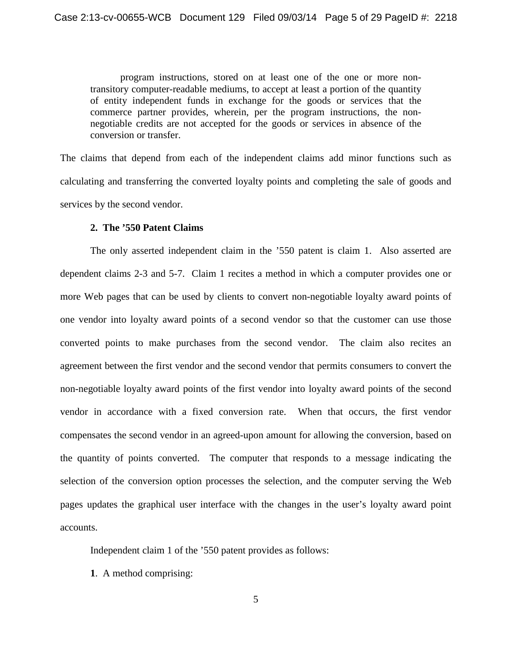program instructions, stored on at least one of the one or more nontransitory computer-readable mediums, to accept at least a portion of the quantity of entity independent funds in exchange for the goods or services that the commerce partner provides, wherein, per the program instructions, the nonnegotiable credits are not accepted for the goods or services in absence of the conversion or transfer.

The claims that depend from each of the independent claims add minor functions such as calculating and transferring the converted loyalty points and completing the sale of goods and services by the second vendor.

### **2. The '550 Patent Claims**

The only asserted independent claim in the '550 patent is claim 1. Also asserted are dependent claims 2-3 and 5-7. Claim 1 recites a method in which a computer provides one or more Web pages that can be used by clients to convert non-negotiable loyalty award points of one vendor into loyalty award points of a second vendor so that the customer can use those converted points to make purchases from the second vendor. The claim also recites an agreement between the first vendor and the second vendor that permits consumers to convert the non-negotiable loyalty award points of the first vendor into loyalty award points of the second vendor in accordance with a fixed conversion rate. When that occurs, the first vendor compensates the second vendor in an agreed-upon amount for allowing the conversion, based on the quantity of points converted. The computer that responds to a message indicating the selection of the conversion option processes the selection, and the computer serving the Web pages updates the graphical user interface with the changes in the user's loyalty award point accounts.

Independent claim 1 of the '550 patent provides as follows:

**1**. A method comprising: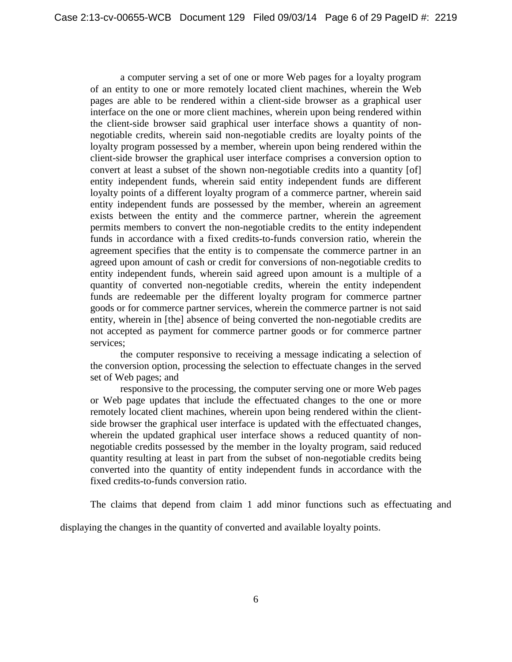a computer serving a set of one or more Web pages for a loyalty program of an entity to one or more remotely located client machines, wherein the Web pages are able to be rendered within a client-side browser as a graphical user interface on the one or more client machines, wherein upon being rendered within the client-side browser said graphical user interface shows a quantity of nonnegotiable credits, wherein said non-negotiable credits are loyalty points of the loyalty program possessed by a member, wherein upon being rendered within the client-side browser the graphical user interface comprises a conversion option to convert at least a subset of the shown non-negotiable credits into a quantity [of] entity independent funds, wherein said entity independent funds are different loyalty points of a different loyalty program of a commerce partner, wherein said entity independent funds are possessed by the member, wherein an agreement exists between the entity and the commerce partner, wherein the agreement permits members to convert the non-negotiable credits to the entity independent funds in accordance with a fixed credits-to-funds conversion ratio, wherein the agreement specifies that the entity is to compensate the commerce partner in an agreed upon amount of cash or credit for conversions of non-negotiable credits to entity independent funds, wherein said agreed upon amount is a multiple of a quantity of converted non-negotiable credits, wherein the entity independent funds are redeemable per the different loyalty program for commerce partner goods or for commerce partner services, wherein the commerce partner is not said entity, wherein in [the] absence of being converted the non-negotiable credits are not accepted as payment for commerce partner goods or for commerce partner services;

the computer responsive to receiving a message indicating a selection of the conversion option, processing the selection to effectuate changes in the served set of Web pages; and

responsive to the processing, the computer serving one or more Web pages or Web page updates that include the effectuated changes to the one or more remotely located client machines, wherein upon being rendered within the clientside browser the graphical user interface is updated with the effectuated changes, wherein the updated graphical user interface shows a reduced quantity of nonnegotiable credits possessed by the member in the loyalty program, said reduced quantity resulting at least in part from the subset of non-negotiable credits being converted into the quantity of entity independent funds in accordance with the fixed credits-to-funds conversion ratio.

The claims that depend from claim 1 add minor functions such as effectuating and

displaying the changes in the quantity of converted and available loyalty points.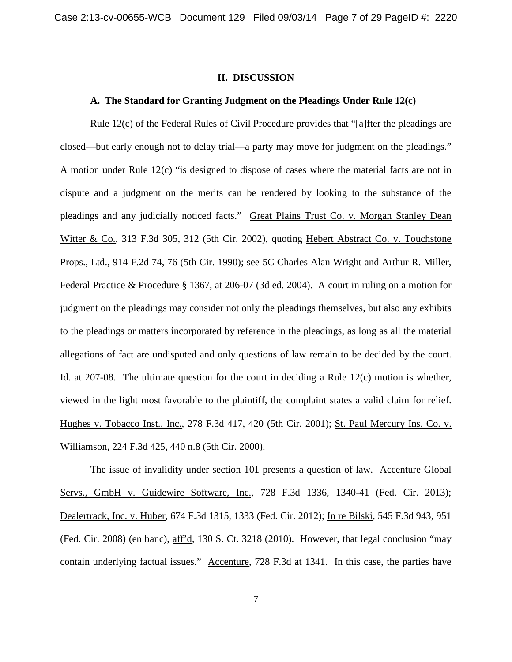#### **II. DISCUSSION**

#### **A. The Standard for Granting Judgment on the Pleadings Under Rule 12(c)**

Rule 12(c) of the Federal Rules of Civil Procedure provides that "[a]fter the pleadings are closed—but early enough not to delay trial—a party may move for judgment on the pleadings." A motion under Rule 12(c) "is designed to dispose of cases where the material facts are not in dispute and a judgment on the merits can be rendered by looking to the substance of the pleadings and any judicially noticed facts." Great Plains Trust Co. v. Morgan Stanley Dean Witter & Co., 313 F.3d 305, 312 (5th Cir. 2002), quoting Hebert Abstract Co. v. Touchstone Props., Ltd., 914 F.2d 74, 76 (5th Cir. 1990); see 5C Charles Alan Wright and Arthur R. Miller, Federal Practice & Procedure § 1367, at 206-07 (3d ed. 2004). A court in ruling on a motion for judgment on the pleadings may consider not only the pleadings themselves, but also any exhibits to the pleadings or matters incorporated by reference in the pleadings, as long as all the material allegations of fact are undisputed and only questions of law remain to be decided by the court. Id. at 207-08. The ultimate question for the court in deciding a Rule 12(c) motion is whether, viewed in the light most favorable to the plaintiff, the complaint states a valid claim for relief. Hughes v. Tobacco Inst., Inc., 278 F.3d 417, 420 (5th Cir. 2001); St. Paul Mercury Ins. Co. v. Williamson, 224 F.3d 425, 440 n.8 (5th Cir. 2000).

The issue of invalidity under section 101 presents a question of law. Accenture Global Servs., GmbH v. Guidewire Software, Inc., 728 F.3d 1336, 1340-41 (Fed. Cir. 2013); Dealertrack, Inc. v. Huber, 674 F.3d 1315, 1333 (Fed. Cir. 2012); In re Bilski, 545 F.3d 943, 951 (Fed. Cir. 2008) (en banc), aff'd, 130 S. Ct. 3218 (2010). However, that legal conclusion "may contain underlying factual issues." Accenture, 728 F.3d at 1341. In this case, the parties have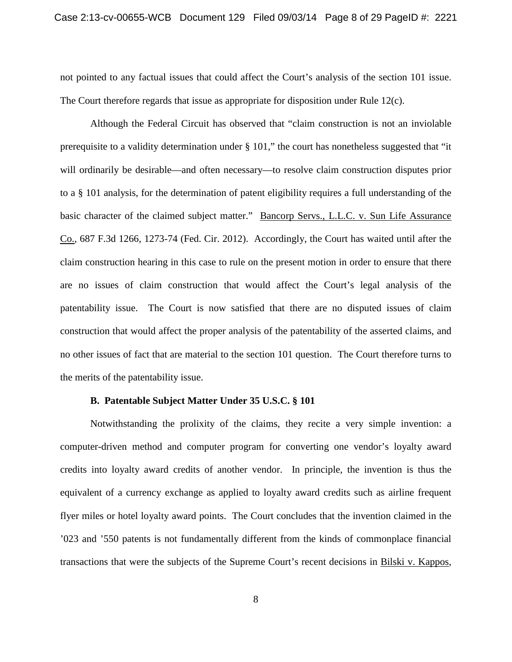not pointed to any factual issues that could affect the Court's analysis of the section 101 issue. The Court therefore regards that issue as appropriate for disposition under Rule 12(c).

Although the Federal Circuit has observed that "claim construction is not an inviolable prerequisite to a validity determination under § 101," the court has nonetheless suggested that "it will ordinarily be desirable—and often necessary—to resolve claim construction disputes prior to a § 101 analysis, for the determination of patent eligibility requires a full understanding of the basic character of the claimed subject matter." Bancorp Servs., L.L.C. v. Sun Life Assurance Co., 687 F.3d 1266, 1273-74 (Fed. Cir. 2012). Accordingly, the Court has waited until after the claim construction hearing in this case to rule on the present motion in order to ensure that there are no issues of claim construction that would affect the Court's legal analysis of the patentability issue. The Court is now satisfied that there are no disputed issues of claim construction that would affect the proper analysis of the patentability of the asserted claims, and no other issues of fact that are material to the section 101 question. The Court therefore turns to the merits of the patentability issue.

### **B. Patentable Subject Matter Under 35 U.S.C. § 101**

Notwithstanding the prolixity of the claims, they recite a very simple invention: a computer-driven method and computer program for converting one vendor's loyalty award credits into loyalty award credits of another vendor. In principle, the invention is thus the equivalent of a currency exchange as applied to loyalty award credits such as airline frequent flyer miles or hotel loyalty award points. The Court concludes that the invention claimed in the '023 and '550 patents is not fundamentally different from the kinds of commonplace financial transactions that were the subjects of the Supreme Court's recent decisions in Bilski v. Kappos,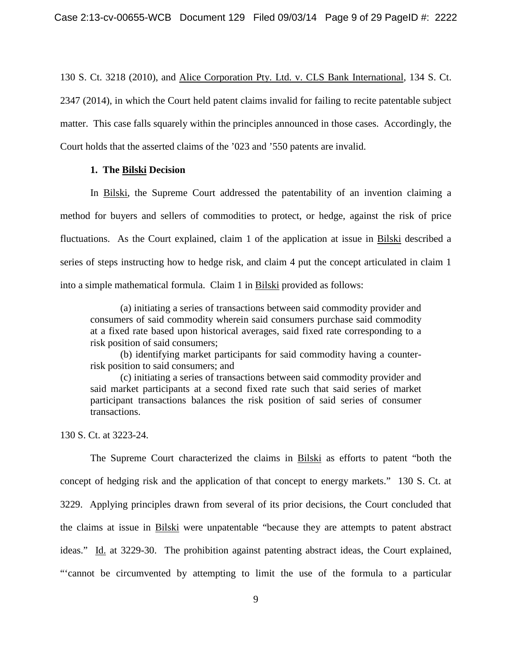130 S. Ct. 3218 (2010), and Alice Corporation Pty. Ltd. v. CLS Bank International, 134 S. Ct. 2347 (2014), in which the Court held patent claims invalid for failing to recite patentable subject matter. This case falls squarely within the principles announced in those cases. Accordingly, the Court holds that the asserted claims of the '023 and '550 patents are invalid.

### **1. The Bilski Decision**

In Bilski, the Supreme Court addressed the patentability of an invention claiming a method for buyers and sellers of commodities to protect, or hedge, against the risk of price fluctuations. As the Court explained, claim 1 of the application at issue in Bilski described a series of steps instructing how to hedge risk, and claim 4 put the concept articulated in claim 1 into a simple mathematical formula. Claim 1 in Bilski provided as follows:

(a) initiating a series of transactions between said commodity provider and consumers of said commodity wherein said consumers purchase said commodity at a fixed rate based upon historical averages, said fixed rate corresponding to a risk position of said consumers;

(b) identifying market participants for said commodity having a counterrisk position to said consumers; and

(c) initiating a series of transactions between said commodity provider and said market participants at a second fixed rate such that said series of market participant transactions balances the risk position of said series of consumer transactions.

130 S. Ct. at 3223-24.

The Supreme Court characterized the claims in Bilski as efforts to patent "both the concept of hedging risk and the application of that concept to energy markets." 130 S. Ct. at 3229. Applying principles drawn from several of its prior decisions, the Court concluded that the claims at issue in Bilski were unpatentable "because they are attempts to patent abstract ideas." Id. at 3229-30. The prohibition against patenting abstract ideas, the Court explained, "'cannot be circumvented by attempting to limit the use of the formula to a particular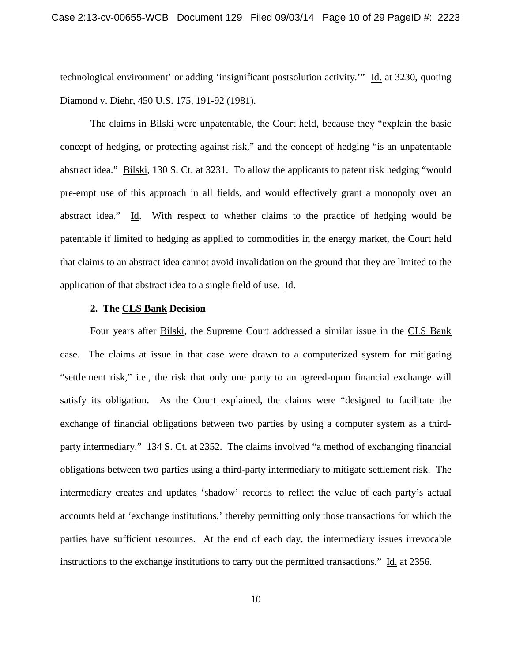technological environment' or adding 'insignificant postsolution activity.'" Id. at 3230, quoting Diamond v. Diehr, 450 U.S. 175, 191-92 (1981).

The claims in Bilski were unpatentable, the Court held, because they "explain the basic concept of hedging, or protecting against risk," and the concept of hedging "is an unpatentable abstract idea." Bilski, 130 S. Ct. at 3231. To allow the applicants to patent risk hedging "would pre-empt use of this approach in all fields, and would effectively grant a monopoly over an abstract idea." Id. With respect to whether claims to the practice of hedging would be patentable if limited to hedging as applied to commodities in the energy market, the Court held that claims to an abstract idea cannot avoid invalidation on the ground that they are limited to the application of that abstract idea to a single field of use. Id.

## **2. The CLS Bank Decision**

Four years after Bilski, the Supreme Court addressed a similar issue in the CLS Bank case. The claims at issue in that case were drawn to a computerized system for mitigating "settlement risk," i.e., the risk that only one party to an agreed-upon financial exchange will satisfy its obligation. As the Court explained, the claims were "designed to facilitate the exchange of financial obligations between two parties by using a computer system as a thirdparty intermediary." 134 S. Ct. at 2352. The claims involved "a method of exchanging financial obligations between two parties using a third-party intermediary to mitigate settlement risk. The intermediary creates and updates 'shadow' records to reflect the value of each party's actual accounts held at 'exchange institutions,' thereby permitting only those transactions for which the parties have sufficient resources. At the end of each day, the intermediary issues irrevocable instructions to the exchange institutions to carry out the permitted transactions." Id. at 2356.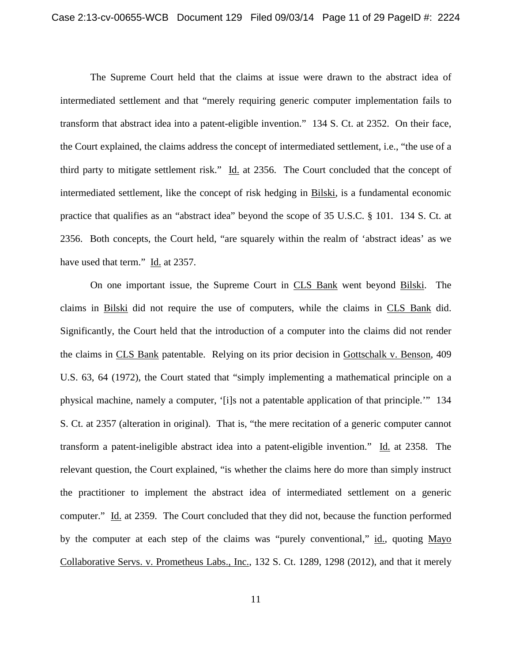The Supreme Court held that the claims at issue were drawn to the abstract idea of intermediated settlement and that "merely requiring generic computer implementation fails to transform that abstract idea into a patent-eligible invention." 134 S. Ct. at 2352. On their face, the Court explained, the claims address the concept of intermediated settlement, i.e., "the use of a third party to mitigate settlement risk." Id. at 2356. The Court concluded that the concept of intermediated settlement, like the concept of risk hedging in Bilski, is a fundamental economic practice that qualifies as an "abstract idea" beyond the scope of 35 U.S.C. § 101. 134 S. Ct. at 2356. Both concepts, the Court held, "are squarely within the realm of 'abstract ideas' as we have used that term." Id. at 2357.

On one important issue, the Supreme Court in CLS Bank went beyond Bilski. The claims in Bilski did not require the use of computers, while the claims in CLS Bank did. Significantly, the Court held that the introduction of a computer into the claims did not render the claims in CLS Bank patentable. Relying on its prior decision in Gottschalk v. Benson, 409 U.S. 63, 64 (1972), the Court stated that "simply implementing a mathematical principle on a physical machine, namely a computer, '[i]s not a patentable application of that principle.'" 134 S. Ct. at 2357 (alteration in original). That is, "the mere recitation of a generic computer cannot transform a patent-ineligible abstract idea into a patent-eligible invention." Id. at 2358. The relevant question, the Court explained, "is whether the claims here do more than simply instruct the practitioner to implement the abstract idea of intermediated settlement on a generic computer." Id. at 2359. The Court concluded that they did not, because the function performed by the computer at each step of the claims was "purely conventional," id., quoting Mayo Collaborative Servs. v. Prometheus Labs., Inc., 132 S. Ct. 1289, 1298 (2012), and that it merely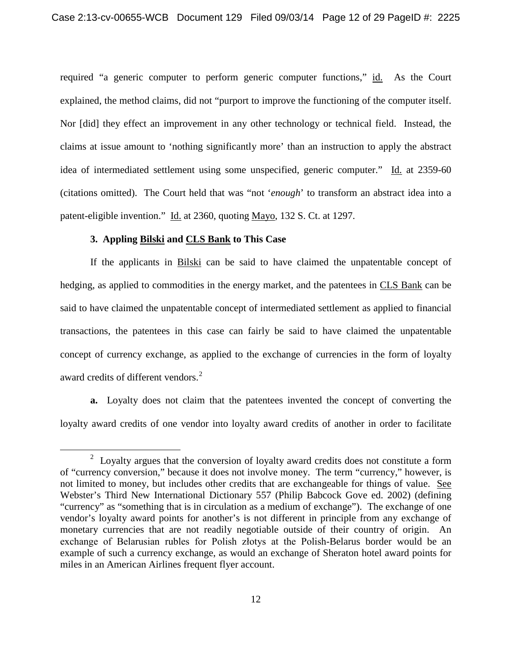required "a generic computer to perform generic computer functions," id. As the Court explained, the method claims, did not "purport to improve the functioning of the computer itself. Nor [did] they effect an improvement in any other technology or technical field. Instead, the claims at issue amount to 'nothing significantly more' than an instruction to apply the abstract idea of intermediated settlement using some unspecified, generic computer." Id. at 2359-60 (citations omitted). The Court held that was "not '*enough*' to transform an abstract idea into a patent-eligible invention." Id. at 2360, quoting Mayo, 132 S. Ct. at 1297.

## **3. Appling Bilski and CLS Bank to This Case**

 $\overline{a}$ 

If the applicants in Bilski can be said to have claimed the unpatentable concept of hedging, as applied to commodities in the energy market, and the patentees in CLS Bank can be said to have claimed the unpatentable concept of intermediated settlement as applied to financial transactions, the patentees in this case can fairly be said to have claimed the unpatentable concept of currency exchange, as applied to the exchange of currencies in the form of loyalty award credits of different vendors.<sup>[2](#page-11-0)</sup>

**a.** Loyalty does not claim that the patentees invented the concept of converting the loyalty award credits of one vendor into loyalty award credits of another in order to facilitate

<span id="page-11-0"></span> $2$  Loyalty argues that the conversion of loyalty award credits does not constitute a form of "currency conversion," because it does not involve money. The term "currency," however, is not limited to money, but includes other credits that are exchangeable for things of value. See Webster's Third New International Dictionary 557 (Philip Babcock Gove ed. 2002) (defining "currency" as "something that is in circulation as a medium of exchange"). The exchange of one vendor's loyalty award points for another's is not different in principle from any exchange of monetary currencies that are not readily negotiable outside of their country of origin. An exchange of Belarusian rubles for Polish złotys at the Polish-Belarus border would be an example of such a currency exchange, as would an exchange of Sheraton hotel award points for miles in an American Airlines frequent flyer account.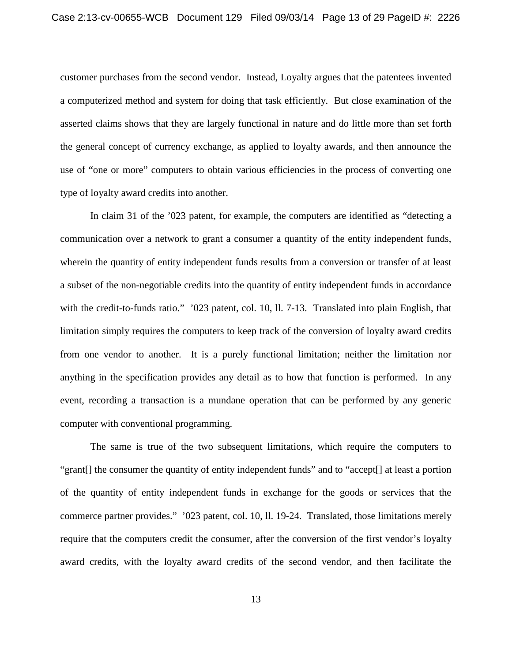customer purchases from the second vendor. Instead, Loyalty argues that the patentees invented a computerized method and system for doing that task efficiently. But close examination of the asserted claims shows that they are largely functional in nature and do little more than set forth the general concept of currency exchange, as applied to loyalty awards, and then announce the use of "one or more" computers to obtain various efficiencies in the process of converting one type of loyalty award credits into another.

In claim 31 of the '023 patent, for example, the computers are identified as "detecting a communication over a network to grant a consumer a quantity of the entity independent funds, wherein the quantity of entity independent funds results from a conversion or transfer of at least a subset of the non-negotiable credits into the quantity of entity independent funds in accordance with the credit-to-funds ratio." '023 patent, col. 10, ll. 7-13. Translated into plain English, that limitation simply requires the computers to keep track of the conversion of loyalty award credits from one vendor to another. It is a purely functional limitation; neither the limitation nor anything in the specification provides any detail as to how that function is performed. In any event, recording a transaction is a mundane operation that can be performed by any generic computer with conventional programming.

The same is true of the two subsequent limitations, which require the computers to "grant[] the consumer the quantity of entity independent funds" and to "accept[] at least a portion of the quantity of entity independent funds in exchange for the goods or services that the commerce partner provides." '023 patent, col. 10, ll. 19-24. Translated, those limitations merely require that the computers credit the consumer, after the conversion of the first vendor's loyalty award credits, with the loyalty award credits of the second vendor, and then facilitate the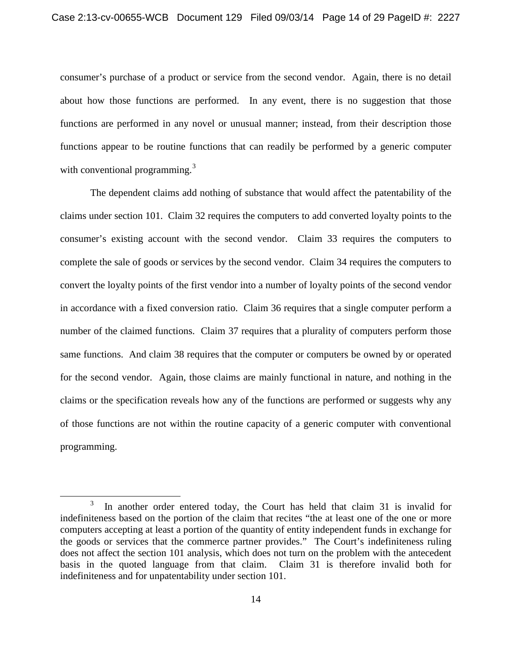consumer's purchase of a product or service from the second vendor. Again, there is no detail about how those functions are performed. In any event, there is no suggestion that those functions are performed in any novel or unusual manner; instead, from their description those functions appear to be routine functions that can readily be performed by a generic computer with conventional programming.<sup>[3](#page-13-0)</sup>

The dependent claims add nothing of substance that would affect the patentability of the claims under section 101. Claim 32 requires the computers to add converted loyalty points to the consumer's existing account with the second vendor. Claim 33 requires the computers to complete the sale of goods or services by the second vendor. Claim 34 requires the computers to convert the loyalty points of the first vendor into a number of loyalty points of the second vendor in accordance with a fixed conversion ratio. Claim 36 requires that a single computer perform a number of the claimed functions. Claim 37 requires that a plurality of computers perform those same functions. And claim 38 requires that the computer or computers be owned by or operated for the second vendor. Again, those claims are mainly functional in nature, and nothing in the claims or the specification reveals how any of the functions are performed or suggests why any of those functions are not within the routine capacity of a generic computer with conventional programming.

 $\overline{a}$ 

<span id="page-13-0"></span><sup>3</sup> In another order entered today, the Court has held that claim 31 is invalid for indefiniteness based on the portion of the claim that recites "the at least one of the one or more computers accepting at least a portion of the quantity of entity independent funds in exchange for the goods or services that the commerce partner provides." The Court's indefiniteness ruling does not affect the section 101 analysis, which does not turn on the problem with the antecedent basis in the quoted language from that claim. Claim 31 is therefore invalid both for indefiniteness and for unpatentability under section 101.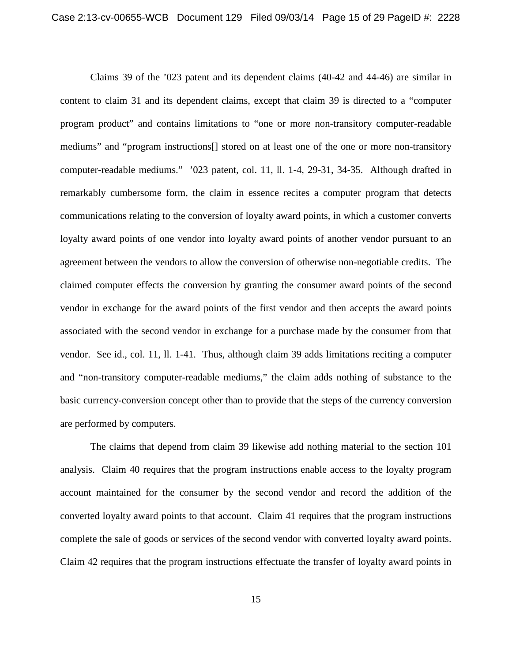Claims 39 of the '023 patent and its dependent claims (40-42 and 44-46) are similar in content to claim 31 and its dependent claims, except that claim 39 is directed to a "computer program product" and contains limitations to "one or more non-transitory computer-readable mediums" and "program instructions[] stored on at least one of the one or more non-transitory computer-readable mediums." '023 patent, col. 11, ll. 1-4, 29-31, 34-35. Although drafted in remarkably cumbersome form, the claim in essence recites a computer program that detects communications relating to the conversion of loyalty award points, in which a customer converts loyalty award points of one vendor into loyalty award points of another vendor pursuant to an agreement between the vendors to allow the conversion of otherwise non-negotiable credits. The claimed computer effects the conversion by granting the consumer award points of the second vendor in exchange for the award points of the first vendor and then accepts the award points associated with the second vendor in exchange for a purchase made by the consumer from that vendor. See id., col. 11, ll. 1-41. Thus, although claim 39 adds limitations reciting a computer and "non-transitory computer-readable mediums," the claim adds nothing of substance to the basic currency-conversion concept other than to provide that the steps of the currency conversion are performed by computers.

The claims that depend from claim 39 likewise add nothing material to the section 101 analysis. Claim 40 requires that the program instructions enable access to the loyalty program account maintained for the consumer by the second vendor and record the addition of the converted loyalty award points to that account. Claim 41 requires that the program instructions complete the sale of goods or services of the second vendor with converted loyalty award points. Claim 42 requires that the program instructions effectuate the transfer of loyalty award points in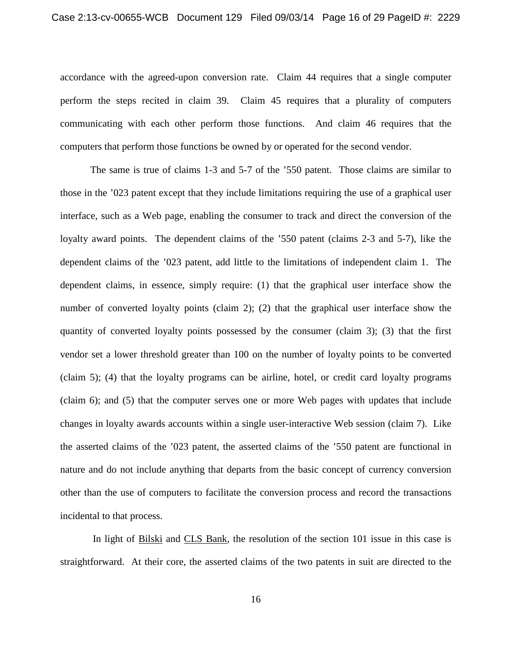accordance with the agreed-upon conversion rate. Claim 44 requires that a single computer perform the steps recited in claim 39. Claim 45 requires that a plurality of computers communicating with each other perform those functions. And claim 46 requires that the computers that perform those functions be owned by or operated for the second vendor.

The same is true of claims 1-3 and 5-7 of the '550 patent. Those claims are similar to those in the '023 patent except that they include limitations requiring the use of a graphical user interface, such as a Web page, enabling the consumer to track and direct the conversion of the loyalty award points. The dependent claims of the '550 patent (claims 2-3 and 5-7), like the dependent claims of the '023 patent, add little to the limitations of independent claim 1. The dependent claims, in essence, simply require: (1) that the graphical user interface show the number of converted loyalty points (claim 2); (2) that the graphical user interface show the quantity of converted loyalty points possessed by the consumer (claim 3); (3) that the first vendor set a lower threshold greater than 100 on the number of loyalty points to be converted (claim 5); (4) that the loyalty programs can be airline, hotel, or credit card loyalty programs (claim 6); and (5) that the computer serves one or more Web pages with updates that include changes in loyalty awards accounts within a single user-interactive Web session (claim 7). Like the asserted claims of the '023 patent, the asserted claims of the '550 patent are functional in nature and do not include anything that departs from the basic concept of currency conversion other than the use of computers to facilitate the conversion process and record the transactions incidental to that process.

In light of Bilski and CLS Bank, the resolution of the section 101 issue in this case is straightforward. At their core, the asserted claims of the two patents in suit are directed to the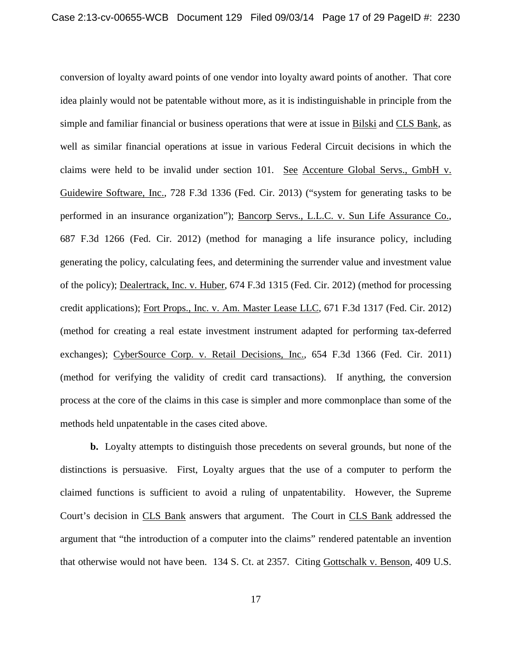conversion of loyalty award points of one vendor into loyalty award points of another. That core idea plainly would not be patentable without more, as it is indistinguishable in principle from the simple and familiar financial or business operations that were at issue in Bilski and CLS Bank, as well as similar financial operations at issue in various Federal Circuit decisions in which the claims were held to be invalid under section 101. See Accenture Global Servs., GmbH v. Guidewire Software, Inc., 728 F.3d 1336 (Fed. Cir. 2013) ("system for generating tasks to be performed in an insurance organization"); Bancorp Servs., L.L.C. v. Sun Life Assurance Co., 687 F.3d 1266 (Fed. Cir. 2012) (method for managing a life insurance policy, including generating the policy, calculating fees, and determining the surrender value and investment value of the policy); Dealertrack, Inc. v. Huber, 674 F.3d 1315 (Fed. Cir. 2012) (method for processing credit applications); Fort Props., Inc. v. Am. Master Lease LLC, 671 F.3d 1317 (Fed. Cir. 2012) (method for creating a real estate investment instrument adapted for performing tax-deferred exchanges); CyberSource Corp. v. Retail Decisions, Inc., 654 F.3d 1366 (Fed. Cir. 2011) (method for verifying the validity of credit card transactions). If anything, the conversion process at the core of the claims in this case is simpler and more commonplace than some of the methods held unpatentable in the cases cited above.

**b.** Loyalty attempts to distinguish those precedents on several grounds, but none of the distinctions is persuasive. First, Loyalty argues that the use of a computer to perform the claimed functions is sufficient to avoid a ruling of unpatentability. However, the Supreme Court's decision in CLS Bank answers that argument. The Court in CLS Bank addressed the argument that "the introduction of a computer into the claims" rendered patentable an invention that otherwise would not have been. 134 S. Ct. at 2357. Citing Gottschalk v. Benson, 409 U.S.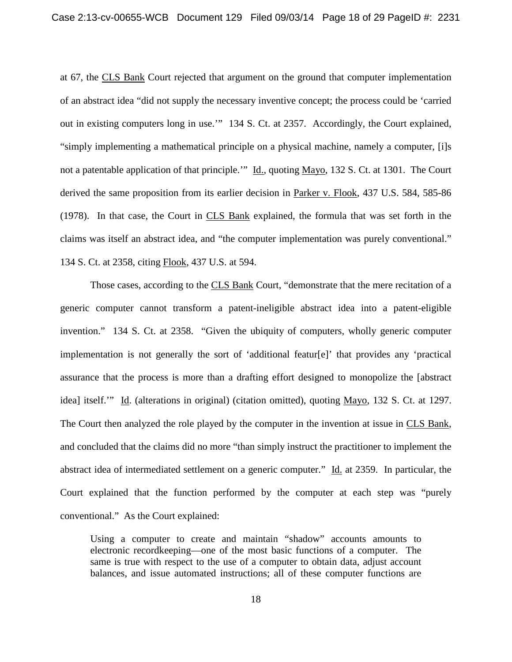at 67, the CLS Bank Court rejected that argument on the ground that computer implementation of an abstract idea "did not supply the necessary inventive concept; the process could be 'carried out in existing computers long in use.'" 134 S. Ct. at 2357. Accordingly, the Court explained, "simply implementing a mathematical principle on a physical machine, namely a computer, [i]s not a patentable application of that principle." Id., quoting Mayo, 132 S. Ct. at 1301. The Court derived the same proposition from its earlier decision in Parker v. Flook, 437 U.S. 584, 585-86 (1978). In that case, the Court in CLS Bank explained, the formula that was set forth in the claims was itself an abstract idea, and "the computer implementation was purely conventional." 134 S. Ct. at 2358, citing Flook, 437 U.S. at 594.

Those cases, according to the **CLS Bank Court**, "demonstrate that the mere recitation of a generic computer cannot transform a patent-ineligible abstract idea into a patent-eligible invention." 134 S. Ct. at 2358. "Given the ubiquity of computers, wholly generic computer implementation is not generally the sort of 'additional featur[e]' that provides any 'practical assurance that the process is more than a drafting effort designed to monopolize the [abstract idea] itself.'" Id. (alterations in original) (citation omitted), quoting Mayo, 132 S. Ct. at 1297. The Court then analyzed the role played by the computer in the invention at issue in CLS Bank, and concluded that the claims did no more "than simply instruct the practitioner to implement the abstract idea of intermediated settlement on a generic computer." Id. at 2359. In particular, the Court explained that the function performed by the computer at each step was "purely conventional." As the Court explained:

Using a computer to create and maintain "shadow" accounts amounts to electronic recordkeeping—one of the most basic functions of a computer. The same is true with respect to the use of a computer to obtain data, adjust account balances, and issue automated instructions; all of these computer functions are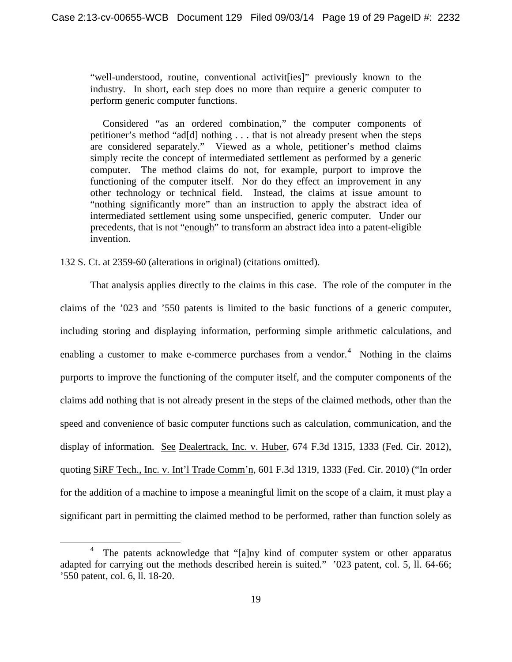"well-understood, routine, conventional activit[ies]" previously known to the industry. In short, each step does no more than require a generic computer to perform generic computer functions.

 Considered "as an ordered combination," the computer components of petitioner's method "ad[d] nothing . . . that is not already present when the steps are considered separately." Viewed as a whole, petitioner's method claims simply recite the concept of intermediated settlement as performed by a generic computer. The method claims do not, for example, purport to improve the functioning of the computer itself. Nor do they effect an improvement in any other technology or technical field. Instead, the claims at issue amount to "nothing significantly more" than an instruction to apply the abstract idea of intermediated settlement using some unspecified, generic computer. Under our precedents, that is not "enough" to transform an abstract idea into a patent-eligible invention.

132 S. Ct. at 2359-60 (alterations in original) (citations omitted).

 $\overline{a}$ 

That analysis applies directly to the claims in this case. The role of the computer in the claims of the '023 and '550 patents is limited to the basic functions of a generic computer, including storing and displaying information, performing simple arithmetic calculations, and enabling a customer to make e-commerce purchases from a vendor.<sup>[4](#page-18-0)</sup> Nothing in the claims purports to improve the functioning of the computer itself, and the computer components of the claims add nothing that is not already present in the steps of the claimed methods, other than the speed and convenience of basic computer functions such as calculation, communication, and the display of information. See Dealertrack, Inc. v. Huber, 674 F.3d 1315, 1333 (Fed. Cir. 2012), quoting SiRF Tech., Inc. v. Int'l Trade Comm'n, 601 F.3d 1319, 1333 (Fed. Cir. 2010) ("In order for the addition of a machine to impose a meaningful limit on the scope of a claim, it must play a significant part in permitting the claimed method to be performed, rather than function solely as

<span id="page-18-0"></span><sup>&</sup>lt;sup>4</sup> The patents acknowledge that "[a]ny kind of computer system or other apparatus adapted for carrying out the methods described herein is suited." '023 patent, col. 5, ll. 64-66; '550 patent, col. 6, ll. 18-20.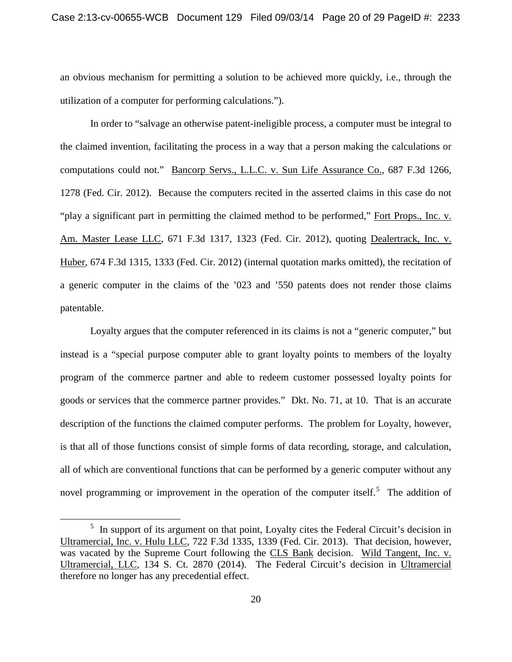an obvious mechanism for permitting a solution to be achieved more quickly, i.e., through the utilization of a computer for performing calculations.").

In order to "salvage an otherwise patent-ineligible process, a computer must be integral to the claimed invention, facilitating the process in a way that a person making the calculations or computations could not." Bancorp Servs., L.L.C. v. Sun Life Assurance Co., 687 F.3d 1266, 1278 (Fed. Cir. 2012). Because the computers recited in the asserted claims in this case do not "play a significant part in permitting the claimed method to be performed," Fort Props., Inc. v. Am. Master Lease LLC, 671 F.3d 1317, 1323 (Fed. Cir. 2012), quoting Dealertrack, Inc. v. Huber, 674 F.3d 1315, 1333 (Fed. Cir. 2012) (internal quotation marks omitted), the recitation of a generic computer in the claims of the '023 and '550 patents does not render those claims patentable.

Loyalty argues that the computer referenced in its claims is not a "generic computer," but instead is a "special purpose computer able to grant loyalty points to members of the loyalty program of the commerce partner and able to redeem customer possessed loyalty points for goods or services that the commerce partner provides." Dkt. No. 71, at 10. That is an accurate description of the functions the claimed computer performs. The problem for Loyalty, however, is that all of those functions consist of simple forms of data recording, storage, and calculation, all of which are conventional functions that can be performed by a generic computer without any novel programming or improvement in the operation of the computer itself.<sup>[5](#page-19-0)</sup> The addition of

 $\overline{a}$ 

<span id="page-19-0"></span><sup>&</sup>lt;sup>5</sup> In support of its argument on that point, Loyalty cites the Federal Circuit's decision in Ultramercial, Inc. v. Hulu LLC*,* 722 F.3d 1335, 1339 (Fed. Cir. 2013). That decision, however, was vacated by the Supreme Court following the CLS Bank decision. Wild Tangent, Inc. v. Ultramercial, LLC, 134 S. Ct. 2870 (2014). The Federal Circuit's decision in Ultramercial therefore no longer has any precedential effect.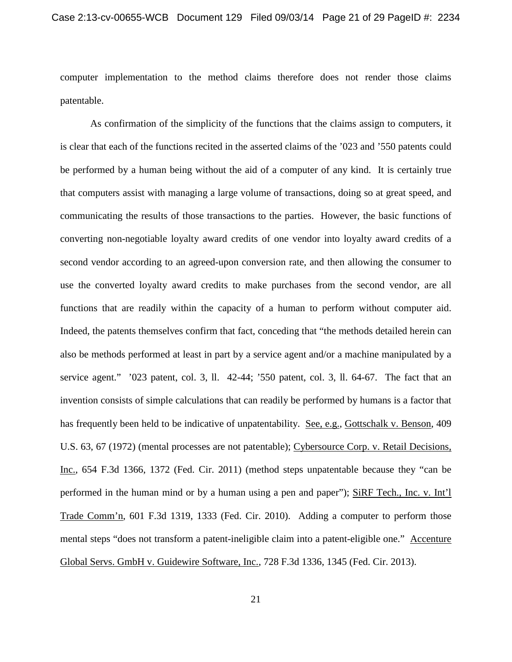computer implementation to the method claims therefore does not render those claims patentable.

As confirmation of the simplicity of the functions that the claims assign to computers, it is clear that each of the functions recited in the asserted claims of the '023 and '550 patents could be performed by a human being without the aid of a computer of any kind. It is certainly true that computers assist with managing a large volume of transactions, doing so at great speed, and communicating the results of those transactions to the parties. However, the basic functions of converting non-negotiable loyalty award credits of one vendor into loyalty award credits of a second vendor according to an agreed-upon conversion rate, and then allowing the consumer to use the converted loyalty award credits to make purchases from the second vendor, are all functions that are readily within the capacity of a human to perform without computer aid. Indeed, the patents themselves confirm that fact, conceding that "the methods detailed herein can also be methods performed at least in part by a service agent and/or a machine manipulated by a service agent." '023 patent, col. 3, ll. 42-44; '550 patent, col. 3, ll. 64-67. The fact that an invention consists of simple calculations that can readily be performed by humans is a factor that has frequently been held to be indicative of unpatentability. See, e.g., Gottschalk v. Benson, 409 U.S. 63, 67 (1972) (mental processes are not patentable); Cybersource Corp. v. Retail Decisions, Inc., 654 F.3d 1366, 1372 (Fed. Cir. 2011) (method steps unpatentable because they "can be performed in the human mind or by a human using a pen and paper"); SiRF Tech., Inc. v. Int'l Trade Comm'n, 601 F.3d 1319, 1333 (Fed. Cir. 2010). Adding a computer to perform those mental steps "does not transform a patent-ineligible claim into a patent-eligible one." Accenture Global Servs. GmbH v. Guidewire Software, Inc., 728 F.3d 1336, 1345 (Fed. Cir. 2013).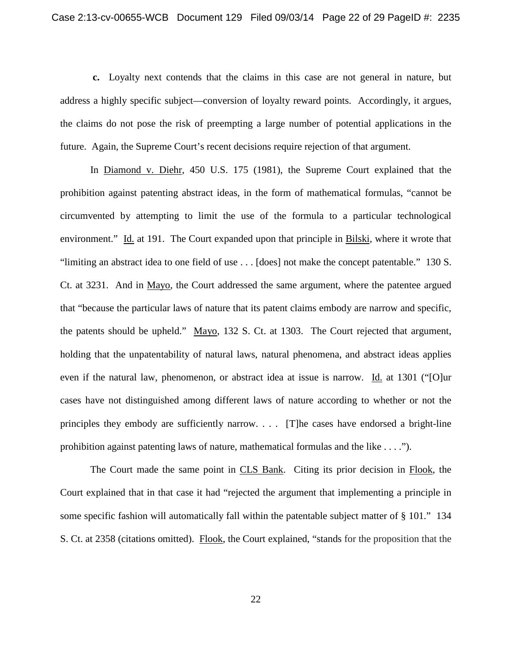**c.** Loyalty next contends that the claims in this case are not general in nature, but address a highly specific subject—conversion of loyalty reward points. Accordingly, it argues, the claims do not pose the risk of preempting a large number of potential applications in the future. Again, the Supreme Court's recent decisions require rejection of that argument.

In Diamond v. Diehr, 450 U.S. 175 (1981), the Supreme Court explained that the prohibition against patenting abstract ideas, in the form of mathematical formulas, "cannot be circumvented by attempting to limit the use of the formula to a particular technological environment." Id. at 191. The Court expanded upon that principle in Bilski, where it wrote that "limiting an abstract idea to one field of use . . . [does] not make the concept patentable." 130 S. Ct. at 3231. And in Mayo, the Court addressed the same argument, where the patentee argued that "because the particular laws of nature that its patent claims embody are narrow and specific, the patents should be upheld." Mayo, 132 S. Ct. at 1303. The Court rejected that argument, holding that the unpatentability of natural laws, natural phenomena, and abstract ideas applies even if the natural law, phenomenon, or abstract idea at issue is narrow. Id. at 1301 ("[O]ur cases have not distinguished among different laws of nature according to whether or not the principles they embody are sufficiently narrow. . . . [T]he cases have endorsed a bright-line prohibition against patenting laws of nature, mathematical formulas and the like . . . .").

The Court made the same point in CLS Bank. Citing its prior decision in Flook, the Court explained that in that case it had "rejected the argument that implementing a principle in some specific fashion will automatically fall within the patentable subject matter of § 101." 134 S. Ct. at 2358 (citations omitted). Flook, the Court explained, "stands for the proposition that the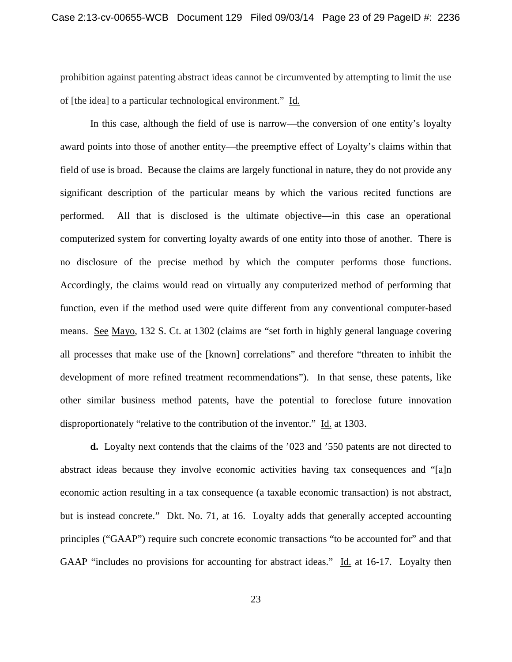prohibition against patenting abstract ideas cannot be circumvented by attempting to limit the use of [the idea] to a particular technological environment." Id.

In this case, although the field of use is narrow—the conversion of one entity's loyalty award points into those of another entity—the preemptive effect of Loyalty's claims within that field of use is broad. Because the claims are largely functional in nature, they do not provide any significant description of the particular means by which the various recited functions are performed. All that is disclosed is the ultimate objective—in this case an operational computerized system for converting loyalty awards of one entity into those of another. There is no disclosure of the precise method by which the computer performs those functions. Accordingly, the claims would read on virtually any computerized method of performing that function, even if the method used were quite different from any conventional computer-based means. See Mayo, 132 S. Ct. at 1302 (claims are "set forth in highly general language covering all processes that make use of the [known] correlations" and therefore "threaten to inhibit the development of more refined treatment recommendations"). In that sense, these patents, like other similar business method patents, have the potential to foreclose future innovation disproportionately "relative to the contribution of the inventor." Id. at 1303.

**d.** Loyalty next contends that the claims of the '023 and '550 patents are not directed to abstract ideas because they involve economic activities having tax consequences and "[a]n economic action resulting in a tax consequence (a taxable economic transaction) is not abstract, but is instead concrete." Dkt. No. 71, at 16. Loyalty adds that generally accepted accounting principles ("GAAP") require such concrete economic transactions "to be accounted for" and that GAAP "includes no provisions for accounting for abstract ideas." Id. at 16-17. Loyalty then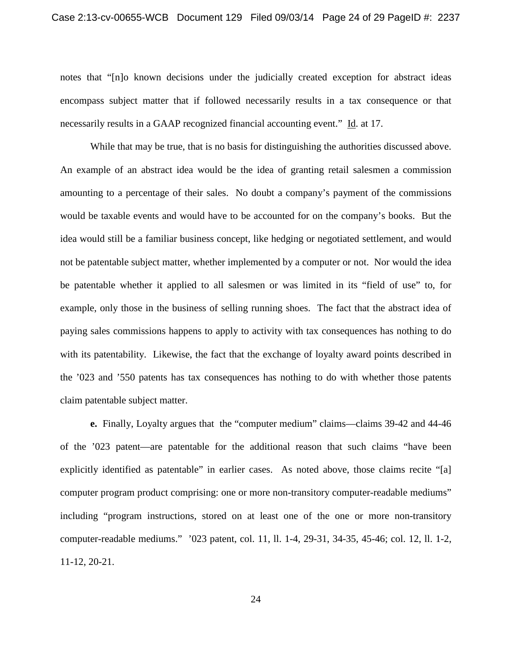notes that "[n]o known decisions under the judicially created exception for abstract ideas encompass subject matter that if followed necessarily results in a tax consequence or that necessarily results in a GAAP recognized financial accounting event." Id. at 17.

While that may be true, that is no basis for distinguishing the authorities discussed above. An example of an abstract idea would be the idea of granting retail salesmen a commission amounting to a percentage of their sales. No doubt a company's payment of the commissions would be taxable events and would have to be accounted for on the company's books. But the idea would still be a familiar business concept, like hedging or negotiated settlement, and would not be patentable subject matter, whether implemented by a computer or not. Nor would the idea be patentable whether it applied to all salesmen or was limited in its "field of use" to, for example, only those in the business of selling running shoes. The fact that the abstract idea of paying sales commissions happens to apply to activity with tax consequences has nothing to do with its patentability. Likewise, the fact that the exchange of loyalty award points described in the '023 and '550 patents has tax consequences has nothing to do with whether those patents claim patentable subject matter.

**e.** Finally, Loyalty argues that the "computer medium" claims—claims 39-42 and 44-46 of the '023 patent—are patentable for the additional reason that such claims "have been explicitly identified as patentable" in earlier cases. As noted above, those claims recite "[a] computer program product comprising: one or more non-transitory computer-readable mediums" including "program instructions, stored on at least one of the one or more non-transitory computer-readable mediums." '023 patent, col. 11, ll. 1-4, 29-31, 34-35, 45-46; col. 12, ll. 1-2, 11-12, 20-21.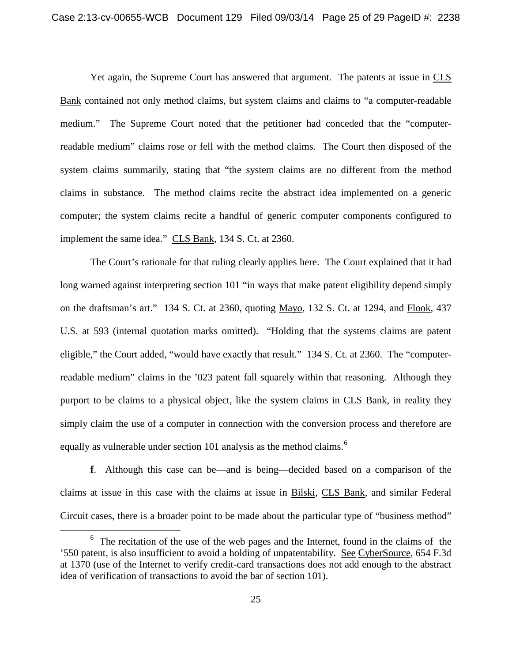Yet again, the Supreme Court has answered that argument. The patents at issue in CLS Bank contained not only method claims, but system claims and claims to "a computer-readable medium." The Supreme Court noted that the petitioner had conceded that the "computerreadable medium" claims rose or fell with the method claims. The Court then disposed of the system claims summarily, stating that "the system claims are no different from the method claims in substance. The method claims recite the abstract idea implemented on a generic computer; the system claims recite a handful of generic computer components configured to implement the same idea." CLS Bank, 134 S. Ct. at 2360.

The Court's rationale for that ruling clearly applies here. The Court explained that it had long warned against interpreting section 101 "in ways that make patent eligibility depend simply on the draftsman's art." 134 S. Ct. at 2360, quoting Mayo, 132 S. Ct. at 1294, and Flook, 437 U.S. at 593 (internal quotation marks omitted). "Holding that the systems claims are patent eligible," the Court added, "would have exactly that result." 134 S. Ct. at 2360. The "computerreadable medium" claims in the '023 patent fall squarely within that reasoning. Although they purport to be claims to a physical object, like the system claims in CLS Bank, in reality they simply claim the use of a computer in connection with the conversion process and therefore are equally as vulnerable under section 101 analysis as the method claims.<sup>[6](#page-24-0)</sup>

**f**. Although this case can be—and is being—decided based on a comparison of the claims at issue in this case with the claims at issue in Bilski, CLS Bank, and similar Federal Circuit cases, there is a broader point to be made about the particular type of "business method"

 $\overline{a}$ 

<span id="page-24-0"></span> $6\text{ }$  The recitation of the use of the web pages and the Internet, found in the claims of the '550 patent, is also insufficient to avoid a holding of unpatentability. See CyberSource, 654 F.3d at 1370 (use of the Internet to verify credit-card transactions does not add enough to the abstract idea of verification of transactions to avoid the bar of section 101).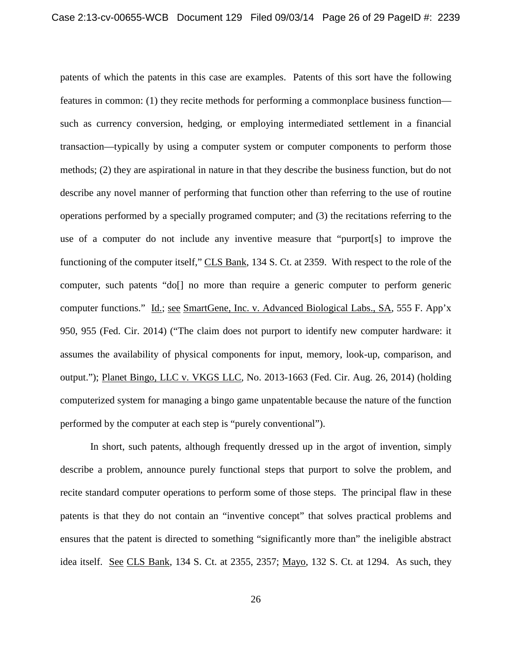patents of which the patents in this case are examples. Patents of this sort have the following features in common: (1) they recite methods for performing a commonplace business function such as currency conversion, hedging, or employing intermediated settlement in a financial transaction—typically by using a computer system or computer components to perform those methods; (2) they are aspirational in nature in that they describe the business function, but do not describe any novel manner of performing that function other than referring to the use of routine operations performed by a specially programed computer; and (3) the recitations referring to the use of a computer do not include any inventive measure that "purport[s] to improve the functioning of the computer itself," CLS Bank, 134 S. Ct. at 2359. With respect to the role of the computer, such patents "do[] no more than require a generic computer to perform generic computer functions." Id.; see SmartGene, Inc. v. Advanced Biological Labs., SA, 555 F. App'x 950, 955 (Fed. Cir. 2014) ("The claim does not purport to identify new computer hardware: it assumes the availability of physical components for input, memory, look-up, comparison, and output."); Planet Bingo, LLC v. VKGS LLC, No. 2013-1663 (Fed. Cir. Aug. 26, 2014) (holding computerized system for managing a bingo game unpatentable because the nature of the function performed by the computer at each step is "purely conventional").

In short, such patents, although frequently dressed up in the argot of invention, simply describe a problem, announce purely functional steps that purport to solve the problem, and recite standard computer operations to perform some of those steps. The principal flaw in these patents is that they do not contain an "inventive concept" that solves practical problems and ensures that the patent is directed to something "significantly more than" the ineligible abstract idea itself. See CLS Bank, 134 S. Ct. at 2355, 2357; Mayo, 132 S. Ct. at 1294. As such, they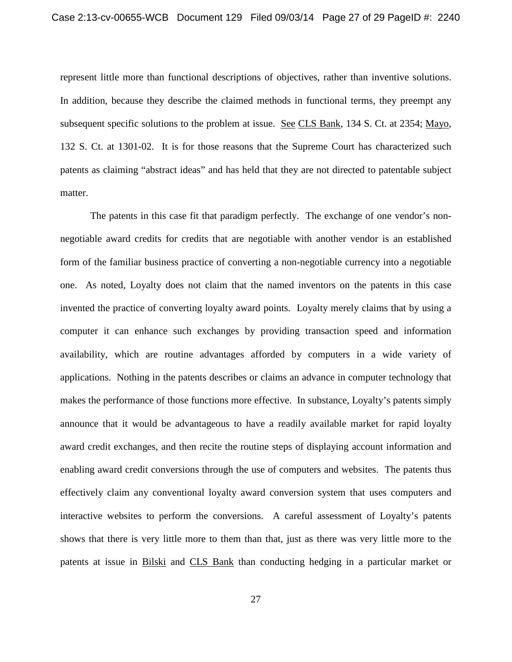represent little more than functional descriptions of objectives, rather than inventive solutions. In addition, because they describe the claimed methods in functional terms, they preempt any subsequent specific solutions to the problem at issue. See CLS Bank, 134 S. Ct. at 2354; Mayo, 132 S. Ct. at 1301-02. It is for those reasons that the Supreme Court has characterized such patents as claiming "abstract ideas" and has held that they are not directed to patentable subject matter.

The patents in this case fit that paradigm perfectly. The exchange of one vendor's nonnegotiable award credits for credits that are negotiable with another vendor is an established form of the familiar business practice of converting a non-negotiable currency into a negotiable one. As noted, Loyalty does not claim that the named inventors on the patents in this case invented the practice of converting loyalty award points. Loyalty merely claims that by using a computer it can enhance such exchanges by providing transaction speed and information availability, which are routine advantages afforded by computers in a wide variety of applications. Nothing in the patents describes or claims an advance in computer technology that makes the performance of those functions more effective. In substance, Loyalty's patents simply announce that it would be advantageous to have a readily available market for rapid loyalty award credit exchanges, and then recite the routine steps of displaying account information and enabling award credit conversions through the use of computers and websites. The patents thus effectively claim any conventional loyalty award conversion system that uses computers and interactive websites to perform the conversions. A careful assessment of Loyalty's patents shows that there is very little more to them than that, just as there was very little more to the patents at issue in Bilski and CLS Bank than conducting hedging in a particular market or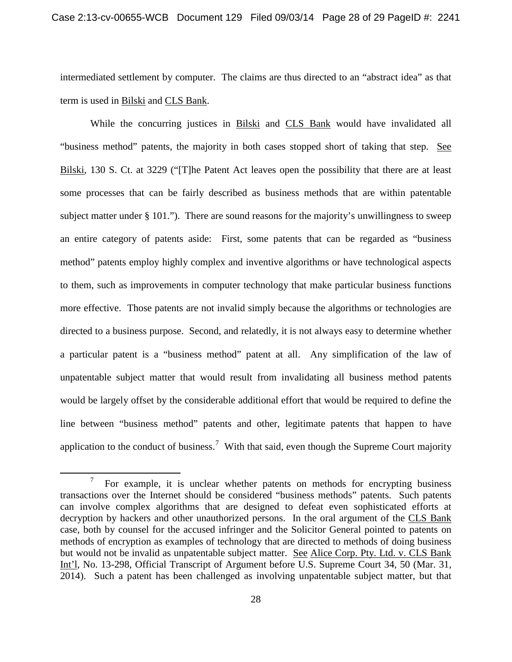intermediated settlement by computer. The claims are thus directed to an "abstract idea" as that term is used in Bilski and CLS Bank.

While the concurring justices in Bilski and CLS Bank would have invalidated all "business method" patents, the majority in both cases stopped short of taking that step. See Bilski, 130 S. Ct. at 3229 ("[T]he Patent Act leaves open the possibility that there are at least some processes that can be fairly described as business methods that are within patentable subject matter under § 101."). There are sound reasons for the majority's unwillingness to sweep an entire category of patents aside: First, some patents that can be regarded as "business method" patents employ highly complex and inventive algorithms or have technological aspects to them, such as improvements in computer technology that make particular business functions more effective. Those patents are not invalid simply because the algorithms or technologies are directed to a business purpose. Second, and relatedly, it is not always easy to determine whether a particular patent is a "business method" patent at all. Any simplification of the law of unpatentable subject matter that would result from invalidating all business method patents would be largely offset by the considerable additional effort that would be required to define the line between "business method" patents and other, legitimate patents that happen to have application to the conduct of business.<sup>[7](#page-27-0)</sup> With that said, even though the Supreme Court majority

 $\overline{a}$ 

<span id="page-27-0"></span><sup>7</sup> For example, it is unclear whether patents on methods for encrypting business transactions over the Internet should be considered "business methods" patents. Such patents can involve complex algorithms that are designed to defeat even sophisticated efforts at decryption by hackers and other unauthorized persons. In the oral argument of the CLS Bank case, both by counsel for the accused infringer and the Solicitor General pointed to patents on methods of encryption as examples of technology that are directed to methods of doing business but would not be invalid as unpatentable subject matter. See Alice Corp. Pty. Ltd. v. CLS Bank Int'l, No. 13-298, Official Transcript of Argument before U.S. Supreme Court 34, 50 (Mar. 31, 2014). Such a patent has been challenged as involving unpatentable subject matter, but that